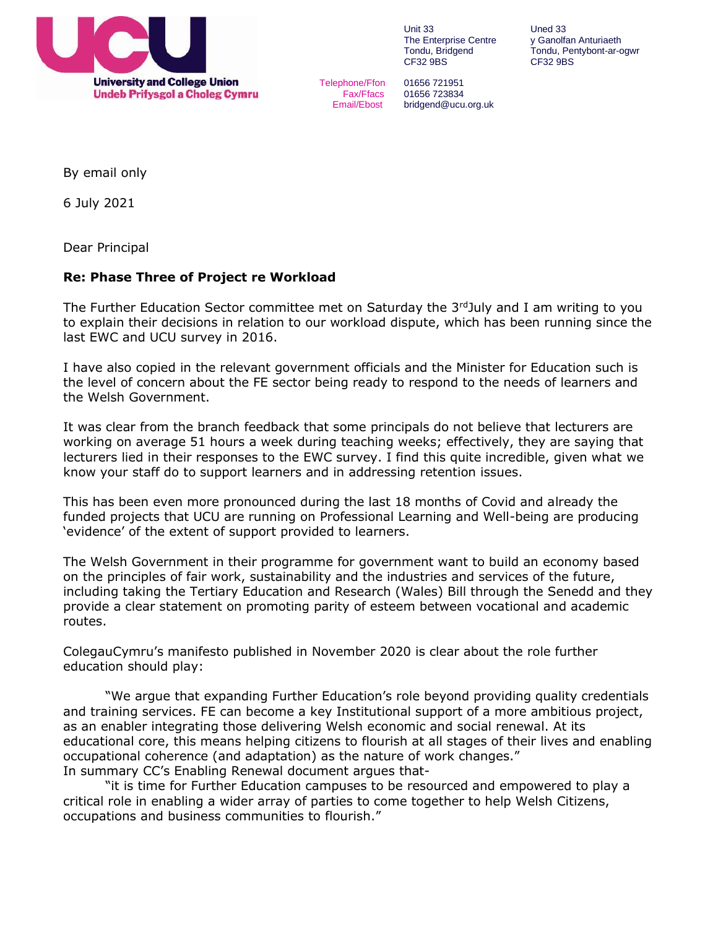

Unit 33 Uned 33<br>The Enterprise Centre v Ganolfan Anturiaeth The Enterprise Centre CF32 9BS CF32 9BS

Telephone/Ffon 01656 721951 Fax/Ffacs 01656 723834 Email/Ebost bridgend@ucu.org.uk

Tondu, Bridgend Tondu, Pentybont-ar-ogwr

By email only

6 July 2021

Dear Principal

## **Re: Phase Three of Project re Workload**

The Further Education Sector committee met on Saturday the  $3<sup>rd</sup>$ July and I am writing to you to explain their decisions in relation to our workload dispute, which has been running since the last EWC and UCU survey in 2016.

I have also copied in the relevant government officials and the Minister for Education such is the level of concern about the FE sector being ready to respond to the needs of learners and the Welsh Government.

It was clear from the branch feedback that some principals do not believe that lecturers are working on average 51 hours a week during teaching weeks; effectively, they are saying that lecturers lied in their responses to the EWC survey. I find this quite incredible, given what we know your staff do to support learners and in addressing retention issues.

This has been even more pronounced during the last 18 months of Covid and already the funded projects that UCU are running on Professional Learning and Well-being are producing 'evidence' of the extent of support provided to learners.

The Welsh Government in their programme for government want to build an economy based on the principles of fair work, sustainability and the industries and services of the future, including taking the Tertiary Education and Research (Wales) Bill through the Senedd and they provide a clear statement on promoting parity of esteem between vocational and academic routes.

ColegauCymru's manifesto published in November 2020 is clear about the role further education should play:

"We argue that expanding Further Education's role beyond providing quality credentials and training services. FE can become a key Institutional support of a more ambitious project, as an enabler integrating those delivering Welsh economic and social renewal. At its educational core, this means helping citizens to flourish at all stages of their lives and enabling occupational coherence (and adaptation) as the nature of work changes." In summary CC's Enabling Renewal document argues that-

"it is time for Further Education campuses to be resourced and empowered to play a critical role in enabling a wider array of parties to come together to help Welsh Citizens, occupations and business communities to flourish."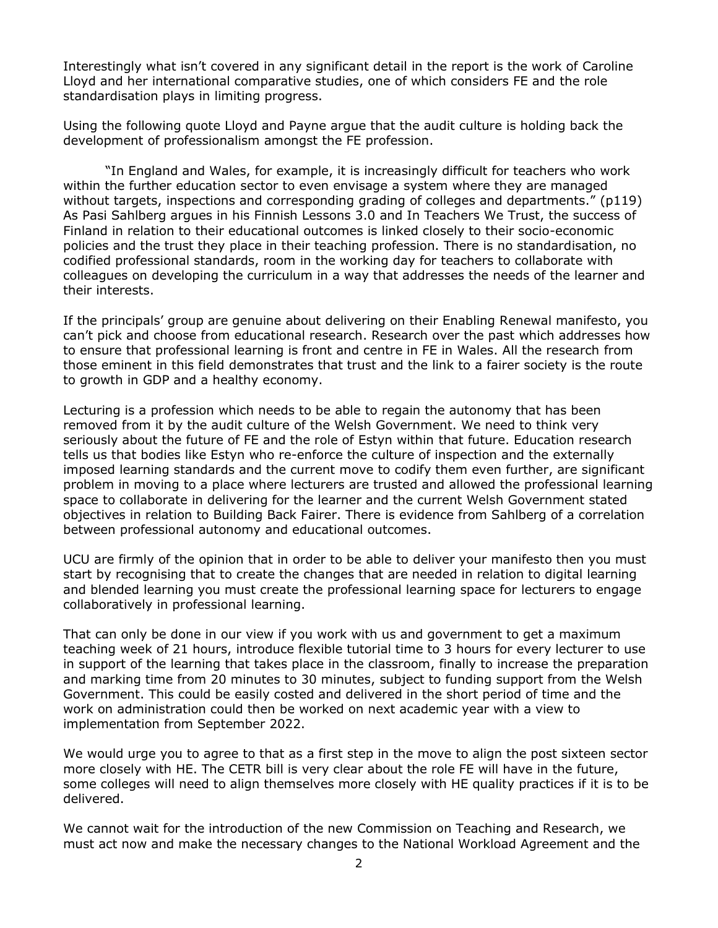Interestingly what isn't covered in any significant detail in the report is the work of Caroline Lloyd and her international comparative studies, one of which considers FE and the role standardisation plays in limiting progress.

Using the following quote Lloyd and Payne argue that the audit culture is holding back the development of professionalism amongst the FE profession.

"In England and Wales, for example, it is increasingly difficult for teachers who work within the further education sector to even envisage a system where they are managed without targets, inspections and corresponding grading of colleges and departments." (p119) As Pasi Sahlberg argues in his Finnish Lessons 3.0 and In Teachers We Trust, the success of Finland in relation to their educational outcomes is linked closely to their socio-economic policies and the trust they place in their teaching profession. There is no standardisation, no codified professional standards, room in the working day for teachers to collaborate with colleagues on developing the curriculum in a way that addresses the needs of the learner and their interests.

If the principals' group are genuine about delivering on their Enabling Renewal manifesto, you can't pick and choose from educational research. Research over the past which addresses how to ensure that professional learning is front and centre in FE in Wales. All the research from those eminent in this field demonstrates that trust and the link to a fairer society is the route to growth in GDP and a healthy economy.

Lecturing is a profession which needs to be able to regain the autonomy that has been removed from it by the audit culture of the Welsh Government. We need to think very seriously about the future of FE and the role of Estyn within that future. Education research tells us that bodies like Estyn who re-enforce the culture of inspection and the externally imposed learning standards and the current move to codify them even further, are significant problem in moving to a place where lecturers are trusted and allowed the professional learning space to collaborate in delivering for the learner and the current Welsh Government stated objectives in relation to Building Back Fairer. There is evidence from Sahlberg of a correlation between professional autonomy and educational outcomes.

UCU are firmly of the opinion that in order to be able to deliver your manifesto then you must start by recognising that to create the changes that are needed in relation to digital learning and blended learning you must create the professional learning space for lecturers to engage collaboratively in professional learning.

That can only be done in our view if you work with us and government to get a maximum teaching week of 21 hours, introduce flexible tutorial time to 3 hours for every lecturer to use in support of the learning that takes place in the classroom, finally to increase the preparation and marking time from 20 minutes to 30 minutes, subject to funding support from the Welsh Government. This could be easily costed and delivered in the short period of time and the work on administration could then be worked on next academic year with a view to implementation from September 2022.

We would urge you to agree to that as a first step in the move to align the post sixteen sector more closely with HE. The CETR bill is very clear about the role FE will have in the future, some colleges will need to align themselves more closely with HE quality practices if it is to be delivered.

We cannot wait for the introduction of the new Commission on Teaching and Research, we must act now and make the necessary changes to the National Workload Agreement and the